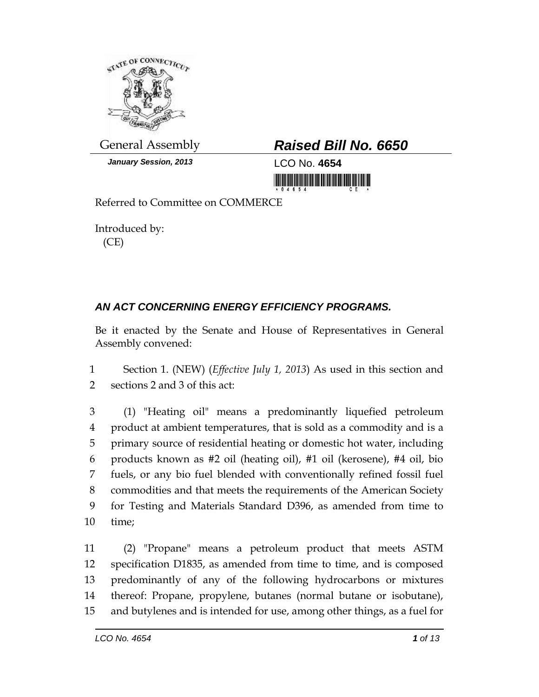

*January Session, 2013* LCO No. **4654**

## General Assembly *Raised Bill No. 6650*

<u> III di kacamatan ing Kabupatèn III di kacamatan Ing Kabupatèn Ing Kabupatèn Ing Kabupatèn Ing Kabupatèn Ing Ka</u>

Referred to Committee on COMMERCE

Introduced by: (CE)

## *AN ACT CONCERNING ENERGY EFFICIENCY PROGRAMS.*

Be it enacted by the Senate and House of Representatives in General Assembly convened:

1 Section 1. (NEW) (*Effective July 1, 2013*) As used in this section and 2 sections 2 and 3 of this act:

 (1) "Heating oil" means a predominantly liquefied petroleum product at ambient temperatures, that is sold as a commodity and is a primary source of residential heating or domestic hot water, including products known as #2 oil (heating oil), #1 oil (kerosene), #4 oil, bio fuels, or any bio fuel blended with conventionally refined fossil fuel commodities and that meets the requirements of the American Society for Testing and Materials Standard D396, as amended from time to 10 time;

 (2) "Propane" means a petroleum product that meets ASTM specification D1835, as amended from time to time, and is composed predominantly of any of the following hydrocarbons or mixtures thereof: Propane, propylene, butanes (normal butane or isobutane), and butylenes and is intended for use, among other things, as a fuel for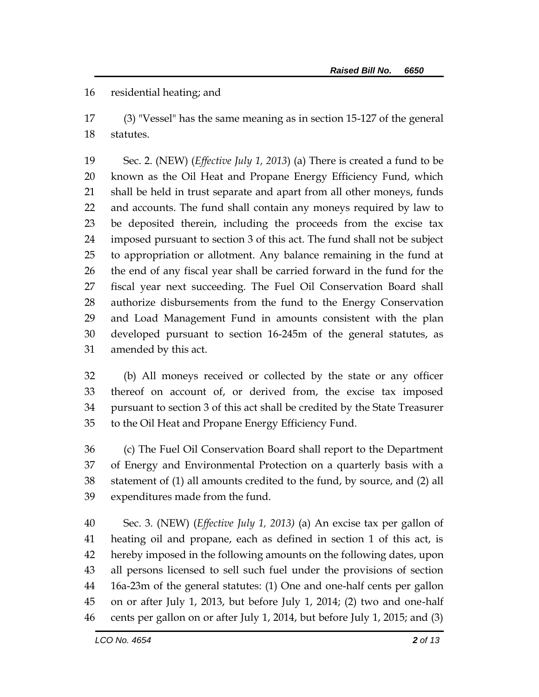residential heating; and

 (3) "Vessel" has the same meaning as in section 15-127 of the general statutes.

 Sec. 2. (NEW) (*Effective July 1, 2013*) (a) There is created a fund to be known as the Oil Heat and Propane Energy Efficiency Fund, which shall be held in trust separate and apart from all other moneys, funds and accounts. The fund shall contain any moneys required by law to be deposited therein, including the proceeds from the excise tax imposed pursuant to section 3 of this act. The fund shall not be subject to appropriation or allotment. Any balance remaining in the fund at the end of any fiscal year shall be carried forward in the fund for the fiscal year next succeeding. The Fuel Oil Conservation Board shall authorize disbursements from the fund to the Energy Conservation and Load Management Fund in amounts consistent with the plan developed pursuant to section 16-245m of the general statutes, as amended by this act.

 (b) All moneys received or collected by the state or any officer thereof on account of, or derived from, the excise tax imposed pursuant to section 3 of this act shall be credited by the State Treasurer to the Oil Heat and Propane Energy Efficiency Fund.

 (c) The Fuel Oil Conservation Board shall report to the Department of Energy and Environmental Protection on a quarterly basis with a statement of (1) all amounts credited to the fund, by source, and (2) all expenditures made from the fund.

 Sec. 3. (NEW) (*Effective July 1, 2013)* (a) An excise tax per gallon of heating oil and propane, each as defined in section 1 of this act, is hereby imposed in the following amounts on the following dates, upon all persons licensed to sell such fuel under the provisions of section 16a-23m of the general statutes: (1) One and one-half cents per gallon on or after July 1, 2013, but before July 1, 2014; (2) two and one-half cents per gallon on or after July 1, 2014, but before July 1, 2015; and (3)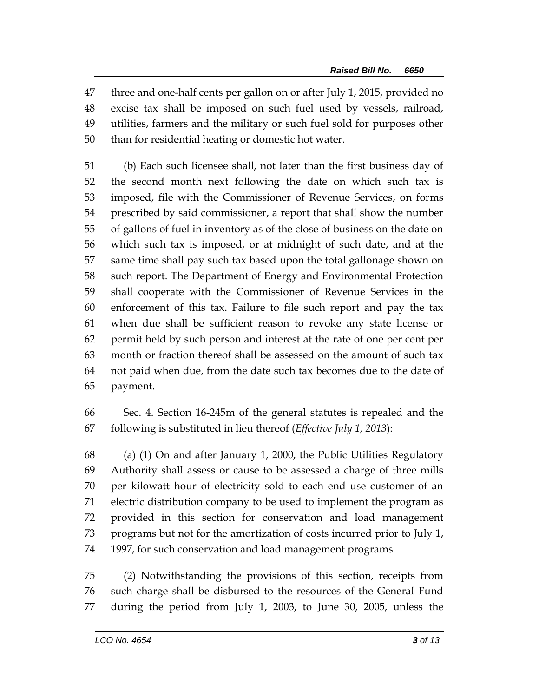three and one-half cents per gallon on or after July 1, 2015, provided no excise tax shall be imposed on such fuel used by vessels, railroad, utilities, farmers and the military or such fuel sold for purposes other than for residential heating or domestic hot water.

 (b) Each such licensee shall, not later than the first business day of the second month next following the date on which such tax is imposed, file with the Commissioner of Revenue Services, on forms prescribed by said commissioner, a report that shall show the number of gallons of fuel in inventory as of the close of business on the date on which such tax is imposed, or at midnight of such date, and at the same time shall pay such tax based upon the total gallonage shown on such report. The Department of Energy and Environmental Protection shall cooperate with the Commissioner of Revenue Services in the enforcement of this tax. Failure to file such report and pay the tax when due shall be sufficient reason to revoke any state license or permit held by such person and interest at the rate of one per cent per month or fraction thereof shall be assessed on the amount of such tax not paid when due, from the date such tax becomes due to the date of payment.

 Sec. 4. Section 16-245m of the general statutes is repealed and the following is substituted in lieu thereof (*Effective July 1, 2013*):

 (a) (1) On and after January 1, 2000, the Public Utilities Regulatory Authority shall assess or cause to be assessed a charge of three mills per kilowatt hour of electricity sold to each end use customer of an electric distribution company to be used to implement the program as provided in this section for conservation and load management programs but not for the amortization of costs incurred prior to July 1, 1997, for such conservation and load management programs.

 (2) Notwithstanding the provisions of this section, receipts from such charge shall be disbursed to the resources of the General Fund during the period from July 1, 2003, to June 30, 2005, unless the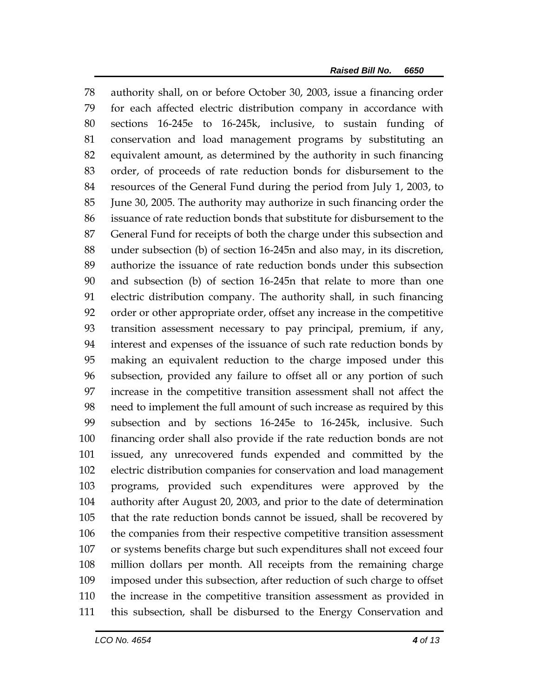authority shall, on or before October 30, 2003, issue a financing order for each affected electric distribution company in accordance with sections 16-245e to 16-245k, inclusive, to sustain funding of conservation and load management programs by substituting an equivalent amount, as determined by the authority in such financing order, of proceeds of rate reduction bonds for disbursement to the resources of the General Fund during the period from July 1, 2003, to June 30, 2005. The authority may authorize in such financing order the issuance of rate reduction bonds that substitute for disbursement to the General Fund for receipts of both the charge under this subsection and under subsection (b) of section 16-245n and also may, in its discretion, authorize the issuance of rate reduction bonds under this subsection and subsection (b) of section 16-245n that relate to more than one electric distribution company. The authority shall, in such financing order or other appropriate order, offset any increase in the competitive transition assessment necessary to pay principal, premium, if any, interest and expenses of the issuance of such rate reduction bonds by making an equivalent reduction to the charge imposed under this subsection, provided any failure to offset all or any portion of such increase in the competitive transition assessment shall not affect the need to implement the full amount of such increase as required by this subsection and by sections 16-245e to 16-245k, inclusive. Such financing order shall also provide if the rate reduction bonds are not issued, any unrecovered funds expended and committed by the electric distribution companies for conservation and load management programs, provided such expenditures were approved by the authority after August 20, 2003, and prior to the date of determination that the rate reduction bonds cannot be issued, shall be recovered by the companies from their respective competitive transition assessment or systems benefits charge but such expenditures shall not exceed four million dollars per month. All receipts from the remaining charge imposed under this subsection, after reduction of such charge to offset the increase in the competitive transition assessment as provided in this subsection, shall be disbursed to the Energy Conservation and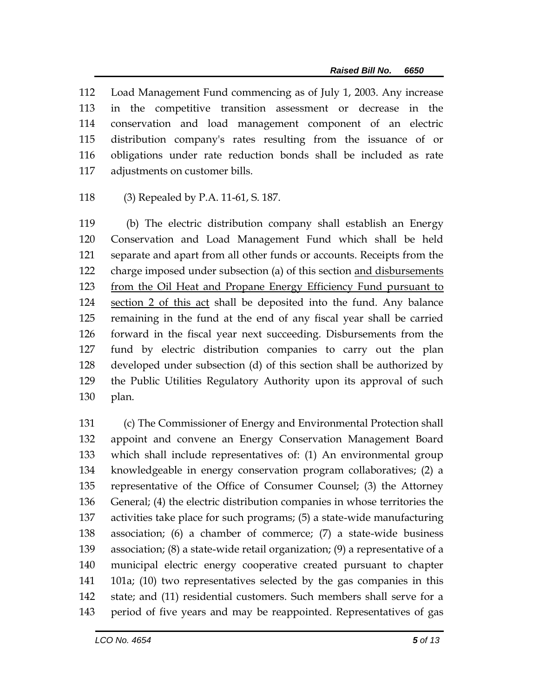Load Management Fund commencing as of July 1, 2003. Any increase in the competitive transition assessment or decrease in the conservation and load management component of an electric distribution company's rates resulting from the issuance of or obligations under rate reduction bonds shall be included as rate adjustments on customer bills.

(3) Repealed by P.A. 11-61, S. 187.

 (b) The electric distribution company shall establish an Energy Conservation and Load Management Fund which shall be held separate and apart from all other funds or accounts. Receipts from the charge imposed under subsection (a) of this section and disbursements from the Oil Heat and Propane Energy Efficiency Fund pursuant to section 2 of this act shall be deposited into the fund. Any balance remaining in the fund at the end of any fiscal year shall be carried forward in the fiscal year next succeeding. Disbursements from the fund by electric distribution companies to carry out the plan developed under subsection (d) of this section shall be authorized by the Public Utilities Regulatory Authority upon its approval of such plan.

 (c) The Commissioner of Energy and Environmental Protection shall appoint and convene an Energy Conservation Management Board which shall include representatives of: (1) An environmental group knowledgeable in energy conservation program collaboratives; (2) a representative of the Office of Consumer Counsel; (3) the Attorney General; (4) the electric distribution companies in whose territories the activities take place for such programs; (5) a state-wide manufacturing association; (6) a chamber of commerce; (7) a state-wide business association; (8) a state-wide retail organization; (9) a representative of a municipal electric energy cooperative created pursuant to chapter 101a; (10) two representatives selected by the gas companies in this state; and (11) residential customers. Such members shall serve for a period of five years and may be reappointed. Representatives of gas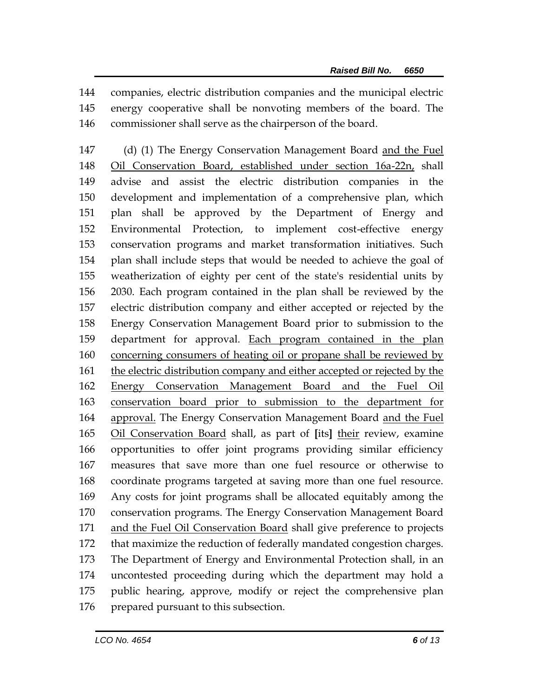companies, electric distribution companies and the municipal electric energy cooperative shall be nonvoting members of the board. The commissioner shall serve as the chairperson of the board.

147 (d) (1) The Energy Conservation Management Board and the Fuel Oil Conservation Board, established under section 16a-22n, shall advise and assist the electric distribution companies in the development and implementation of a comprehensive plan, which plan shall be approved by the Department of Energy and Environmental Protection, to implement cost-effective energy conservation programs and market transformation initiatives. Such plan shall include steps that would be needed to achieve the goal of weatherization of eighty per cent of the state's residential units by 2030. Each program contained in the plan shall be reviewed by the electric distribution company and either accepted or rejected by the Energy Conservation Management Board prior to submission to the department for approval. Each program contained in the plan concerning consumers of heating oil or propane shall be reviewed by the electric distribution company and either accepted or rejected by the Energy Conservation Management Board and the Fuel Oil conservation board prior to submission to the department for approval. The Energy Conservation Management Board and the Fuel Oil Conservation Board shall, as part of **[**its**]** their review, examine opportunities to offer joint programs providing similar efficiency measures that save more than one fuel resource or otherwise to coordinate programs targeted at saving more than one fuel resource. Any costs for joint programs shall be allocated equitably among the conservation programs. The Energy Conservation Management Board and the Fuel Oil Conservation Board shall give preference to projects that maximize the reduction of federally mandated congestion charges. The Department of Energy and Environmental Protection shall, in an uncontested proceeding during which the department may hold a public hearing, approve, modify or reject the comprehensive plan 176 prepared pursuant to this subsection.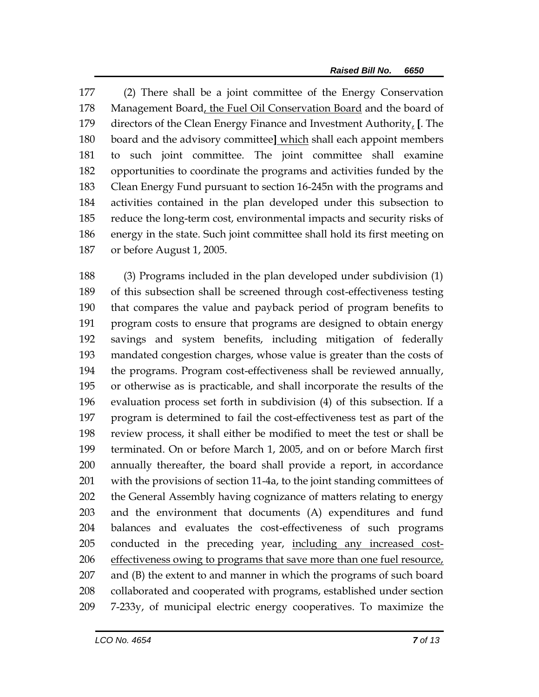(2) There shall be a joint committee of the Energy Conservation Management Board, the Fuel Oil Conservation Board and the board of directors of the Clean Energy Finance and Investment Authority, **[**. The board and the advisory committee**]** which shall each appoint members to such joint committee. The joint committee shall examine opportunities to coordinate the programs and activities funded by the Clean Energy Fund pursuant to section 16-245n with the programs and activities contained in the plan developed under this subsection to reduce the long-term cost, environmental impacts and security risks of energy in the state. Such joint committee shall hold its first meeting on or before August 1, 2005.

 (3) Programs included in the plan developed under subdivision (1) of this subsection shall be screened through cost-effectiveness testing that compares the value and payback period of program benefits to program costs to ensure that programs are designed to obtain energy savings and system benefits, including mitigation of federally mandated congestion charges, whose value is greater than the costs of the programs. Program cost-effectiveness shall be reviewed annually, or otherwise as is practicable, and shall incorporate the results of the evaluation process set forth in subdivision (4) of this subsection. If a program is determined to fail the cost-effectiveness test as part of the review process, it shall either be modified to meet the test or shall be terminated. On or before March 1, 2005, and on or before March first annually thereafter, the board shall provide a report, in accordance with the provisions of section 11-4a, to the joint standing committees of the General Assembly having cognizance of matters relating to energy and the environment that documents (A) expenditures and fund balances and evaluates the cost-effectiveness of such programs 205 conducted in the preceding year, including any increased cost- effectiveness owing to programs that save more than one fuel resource, and (B) the extent to and manner in which the programs of such board collaborated and cooperated with programs, established under section 7-233y, of municipal electric energy cooperatives. To maximize the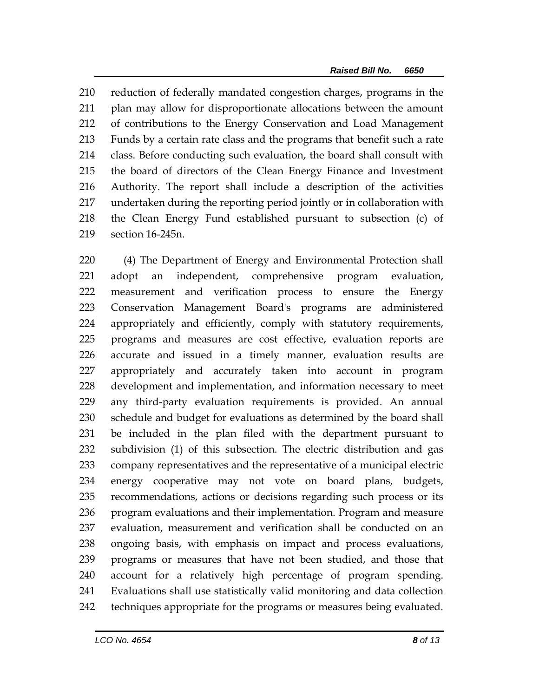reduction of federally mandated congestion charges, programs in the plan may allow for disproportionate allocations between the amount of contributions to the Energy Conservation and Load Management Funds by a certain rate class and the programs that benefit such a rate class. Before conducting such evaluation, the board shall consult with the board of directors of the Clean Energy Finance and Investment Authority. The report shall include a description of the activities undertaken during the reporting period jointly or in collaboration with the Clean Energy Fund established pursuant to subsection (c) of section 16-245n.

 (4) The Department of Energy and Environmental Protection shall adopt an independent, comprehensive program evaluation, measurement and verification process to ensure the Energy Conservation Management Board's programs are administered appropriately and efficiently, comply with statutory requirements, programs and measures are cost effective, evaluation reports are accurate and issued in a timely manner, evaluation results are appropriately and accurately taken into account in program development and implementation, and information necessary to meet any third-party evaluation requirements is provided. An annual schedule and budget for evaluations as determined by the board shall be included in the plan filed with the department pursuant to subdivision (1) of this subsection. The electric distribution and gas company representatives and the representative of a municipal electric energy cooperative may not vote on board plans, budgets, recommendations, actions or decisions regarding such process or its program evaluations and their implementation. Program and measure evaluation, measurement and verification shall be conducted on an ongoing basis, with emphasis on impact and process evaluations, programs or measures that have not been studied, and those that account for a relatively high percentage of program spending. Evaluations shall use statistically valid monitoring and data collection techniques appropriate for the programs or measures being evaluated.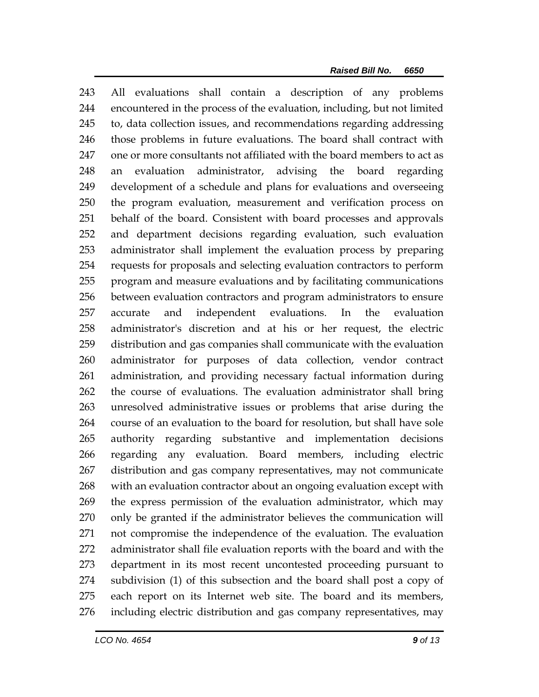All evaluations shall contain a description of any problems encountered in the process of the evaluation, including, but not limited to, data collection issues, and recommendations regarding addressing those problems in future evaluations. The board shall contract with one or more consultants not affiliated with the board members to act as an evaluation administrator, advising the board regarding development of a schedule and plans for evaluations and overseeing the program evaluation, measurement and verification process on behalf of the board. Consistent with board processes and approvals and department decisions regarding evaluation, such evaluation administrator shall implement the evaluation process by preparing requests for proposals and selecting evaluation contractors to perform program and measure evaluations and by facilitating communications between evaluation contractors and program administrators to ensure accurate and independent evaluations. In the evaluation administrator's discretion and at his or her request, the electric distribution and gas companies shall communicate with the evaluation administrator for purposes of data collection, vendor contract administration, and providing necessary factual information during the course of evaluations. The evaluation administrator shall bring unresolved administrative issues or problems that arise during the course of an evaluation to the board for resolution, but shall have sole authority regarding substantive and implementation decisions regarding any evaluation. Board members, including electric distribution and gas company representatives, may not communicate with an evaluation contractor about an ongoing evaluation except with the express permission of the evaluation administrator, which may only be granted if the administrator believes the communication will not compromise the independence of the evaluation. The evaluation administrator shall file evaluation reports with the board and with the department in its most recent uncontested proceeding pursuant to subdivision (1) of this subsection and the board shall post a copy of each report on its Internet web site. The board and its members, including electric distribution and gas company representatives, may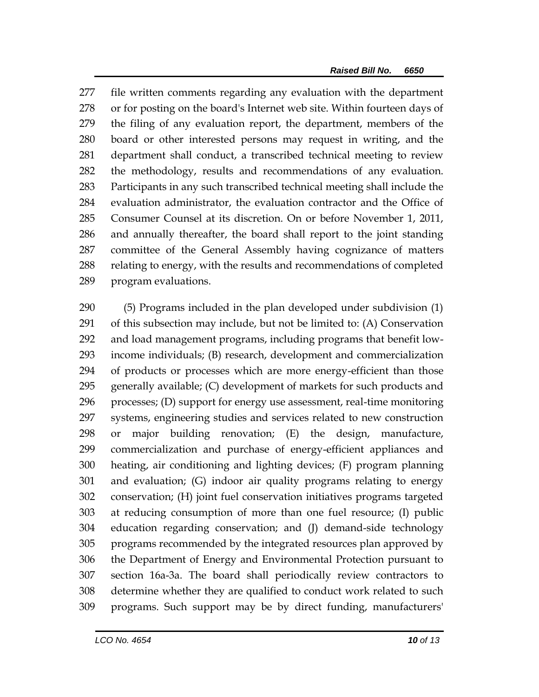file written comments regarding any evaluation with the department or for posting on the board's Internet web site. Within fourteen days of the filing of any evaluation report, the department, members of the board or other interested persons may request in writing, and the department shall conduct, a transcribed technical meeting to review the methodology, results and recommendations of any evaluation. Participants in any such transcribed technical meeting shall include the evaluation administrator, the evaluation contractor and the Office of Consumer Counsel at its discretion. On or before November 1, 2011, and annually thereafter, the board shall report to the joint standing committee of the General Assembly having cognizance of matters relating to energy, with the results and recommendations of completed program evaluations.

 (5) Programs included in the plan developed under subdivision (1) of this subsection may include, but not be limited to: (A) Conservation and load management programs, including programs that benefit low- income individuals; (B) research, development and commercialization of products or processes which are more energy-efficient than those generally available; (C) development of markets for such products and processes; (D) support for energy use assessment, real-time monitoring systems, engineering studies and services related to new construction or major building renovation; (E) the design, manufacture, commercialization and purchase of energy-efficient appliances and heating, air conditioning and lighting devices; (F) program planning and evaluation; (G) indoor air quality programs relating to energy conservation; (H) joint fuel conservation initiatives programs targeted at reducing consumption of more than one fuel resource; (I) public education regarding conservation; and (J) demand-side technology programs recommended by the integrated resources plan approved by the Department of Energy and Environmental Protection pursuant to section 16a-3a. The board shall periodically review contractors to determine whether they are qualified to conduct work related to such programs. Such support may be by direct funding, manufacturers'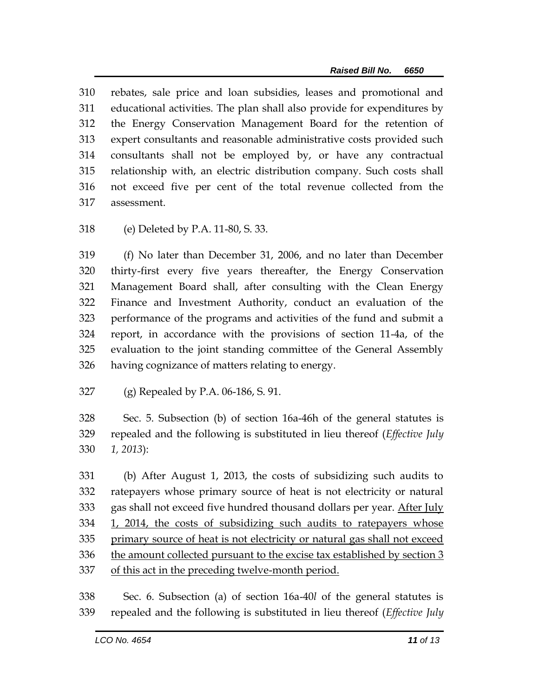rebates, sale price and loan subsidies, leases and promotional and educational activities. The plan shall also provide for expenditures by the Energy Conservation Management Board for the retention of expert consultants and reasonable administrative costs provided such consultants shall not be employed by, or have any contractual relationship with, an electric distribution company. Such costs shall not exceed five per cent of the total revenue collected from the assessment.

(e) Deleted by P.A. 11-80, S. 33.

 (f) No later than December 31, 2006, and no later than December thirty-first every five years thereafter, the Energy Conservation Management Board shall, after consulting with the Clean Energy Finance and Investment Authority, conduct an evaluation of the performance of the programs and activities of the fund and submit a report, in accordance with the provisions of section 11-4a, of the evaluation to the joint standing committee of the General Assembly having cognizance of matters relating to energy.

(g) Repealed by P.A. 06-186, S. 91.

 Sec. 5. Subsection (b) of section 16a-46h of the general statutes is repealed and the following is substituted in lieu thereof (*Effective July 1, 2013*):

 (b) After August 1, 2013, the costs of subsidizing such audits to ratepayers whose primary source of heat is not electricity or natural 333 gas shall not exceed five hundred thousand dollars per year. After July 1, 2014, the costs of subsidizing such audits to ratepayers whose primary source of heat is not electricity or natural gas shall not exceed 336 the amount collected pursuant to the excise tax established by section 3 of this act in the preceding twelve-month period.

 Sec. 6. Subsection (a) of section 16a-40*l* of the general statutes is repealed and the following is substituted in lieu thereof (*Effective July*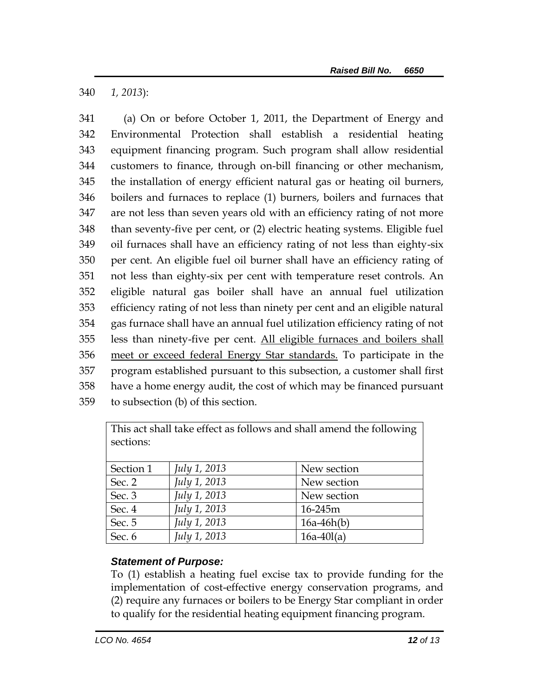340 *1, 2013*):

 (a) On or before October 1, 2011, the Department of Energy and Environmental Protection shall establish a residential heating equipment financing program. Such program shall allow residential customers to finance, through on-bill financing or other mechanism, the installation of energy efficient natural gas or heating oil burners, boilers and furnaces to replace (1) burners, boilers and furnaces that are not less than seven years old with an efficiency rating of not more than seventy-five per cent, or (2) electric heating systems. Eligible fuel oil furnaces shall have an efficiency rating of not less than eighty-six per cent. An eligible fuel oil burner shall have an efficiency rating of not less than eighty-six per cent with temperature reset controls. An eligible natural gas boiler shall have an annual fuel utilization efficiency rating of not less than ninety per cent and an eligible natural gas furnace shall have an annual fuel utilization efficiency rating of not less than ninety-five per cent. All eligible furnaces and boilers shall meet or exceed federal Energy Star standards. To participate in the program established pursuant to this subsection, a customer shall first have a home energy audit, the cost of which may be financed pursuant to subsection (b) of this section.

| This act shall take effect as follows and shall amend the following<br>sections: |                     |              |
|----------------------------------------------------------------------------------|---------------------|--------------|
|                                                                                  |                     |              |
| Section 1                                                                        | <i>July 1, 2013</i> | New section  |
| Sec. 2                                                                           | July 1, 2013        | New section  |
| Sec. 3                                                                           | July 1, 2013        | New section  |
| Sec. 4                                                                           | July 1, 2013        | 16-245m      |
| Sec. 5                                                                           | July 1, 2013        | $16a-46h(b)$ |
| Sec. 6                                                                           | July 1, 2013        | $16a-40l(a)$ |

## *Statement of Purpose:*

To (1) establish a heating fuel excise tax to provide funding for the implementation of cost-effective energy conservation programs, and (2) require any furnaces or boilers to be Energy Star compliant in order to qualify for the residential heating equipment financing program.